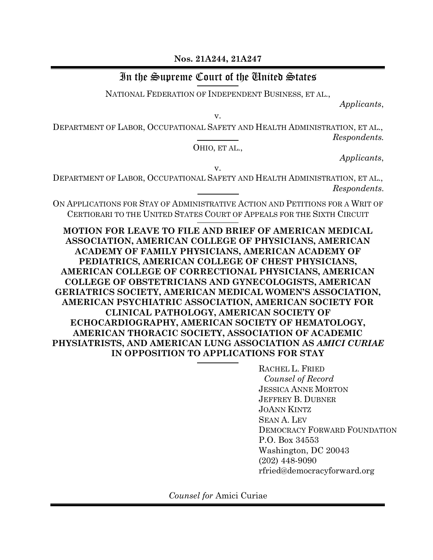**Nos. 21A244, 21A247**

# In the Supreme Court of the United States

NATIONAL FEDERATION OF INDEPENDENT BUSINESS, ET AL.,

*Applicants*,

v.

DEPARTMENT OF LABOR, OCCUPATIONAL SAFETY AND HEALTH ADMINISTRATION, ET AL., *Respondents.*

OHIO, ET AL.,

*Applicants*,

v.

DEPARTMENT OF LABOR, OCCUPATIONAL SAFETY AND HEALTH ADMINISTRATION, ET AL., *Respondents*.

ON APPLICATIONS FOR STAY OF ADMINISTRATIVE ACTION AND PETITIONS FOR A WRIT OF CERTIORARI TO THE UNITED STATES COURT OF APPEALS FOR THE SIXTH CIRCUIT

**MOTION FOR LEAVE TO FILE AND BRIEF OF AMERICAN MEDICAL ASSOCIATION, AMERICAN COLLEGE OF PHYSICIANS, AMERICAN ACADEMY OF FAMILY PHYSICIANS, AMERICAN ACADEMY OF PEDIATRICS, AMERICAN COLLEGE OF CHEST PHYSICIANS, AMERICAN COLLEGE OF CORRECTIONAL PHYSICIANS, AMERICAN COLLEGE OF OBSTETRICIANS AND GYNECOLOGISTS, AMERICAN GERIATRICS SOCIETY, AMERICAN MEDICAL WOMEN'S ASSOCIATION, AMERICAN PSYCHIATRIC ASSOCIATION, AMERICAN SOCIETY FOR CLINICAL PATHOLOGY, AMERICAN SOCIETY OF ECHOCARDIOGRAPHY, AMERICAN SOCIETY OF HEMATOLOGY, AMERICAN THORACIC SOCIETY, ASSOCIATION OF ACADEMIC PHYSIATRISTS, AND AMERICAN LUNG ASSOCIATION AS** *AMICI CURIAE* **IN OPPOSITION TO APPLICATIONS FOR STAY**

> RACHEL L. FRIED *Counsel of Record* JESSICA ANNE MORTON JEFFREY B. DUBNER JOANN KINTZ SEAN A. LEV DEMOCRACY FORWARD FOUNDATION P.O. Box 34553 Washington, DC 20043 (202) 448-9090 rfried@democracyforward.org

*Counsel for* Amici Curiae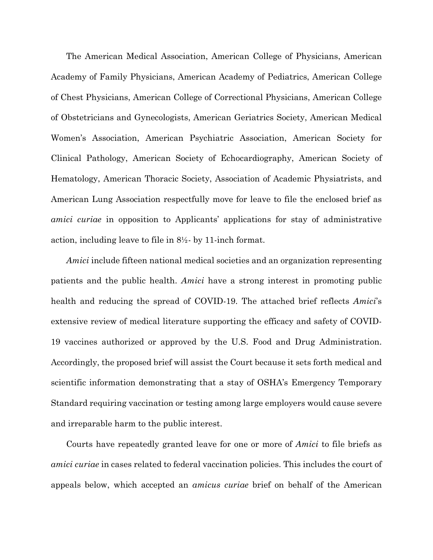The American Medical Association, American College of Physicians, American Academy of Family Physicians, American Academy of Pediatrics, American College of Chest Physicians, American College of Correctional Physicians, American College of Obstetricians and Gynecologists, American Geriatrics Society, American Medical Women's Association, American Psychiatric Association, American Society for Clinical Pathology, American Society of Echocardiography, American Society of Hematology, American Thoracic Society, Association of Academic Physiatrists, and American Lung Association respectfully move for leave to file the enclosed brief as *amici curiae* in opposition to Applicants' applications for stay of administrative action, including leave to file in 8½- by 11-inch format.

*Amici* include fifteen national medical societies and an organization representing patients and the public health. *Amici* have a strong interest in promoting public health and reducing the spread of COVID-19. The attached brief reflects *Amici*'s extensive review of medical literature supporting the efficacy and safety of COVID-19 vaccines authorized or approved by the U.S. Food and Drug Administration. Accordingly, the proposed brief will assist the Court because it sets forth medical and scientific information demonstrating that a stay of OSHA's Emergency Temporary Standard requiring vaccination or testing among large employers would cause severe and irreparable harm to the public interest.

Courts have repeatedly granted leave for one or more of *Amici* to file briefs as *amici curiae* in cases related to federal vaccination policies. This includes the court of appeals below, which accepted an *amicus curiae* brief on behalf of the American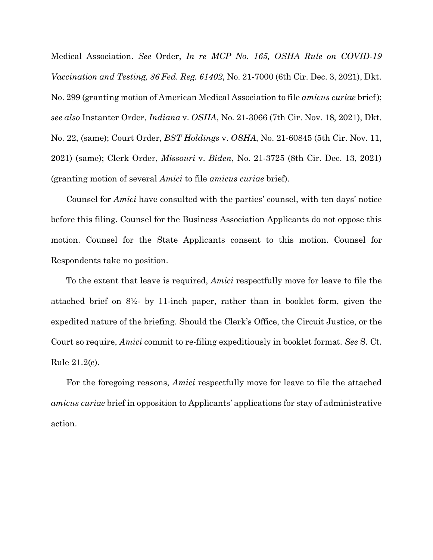Medical Association. *See* Order, *In re MCP No. 165, OSHA Rule on COVID-19 Vaccination and Testing, 86 Fed. Reg. 61402*, No. 21-7000 (6th Cir. Dec. 3, 2021), Dkt. No. 299 (granting motion of American Medical Association to file *amicus curiae* brief); *see also* Instanter Order, *Indiana* v. *OSHA*, No. 21-3066 (7th Cir. Nov. 18, 2021), Dkt. No. 22, (same); Court Order, *BST Holdings* v. *OSHA*, No. 21-60845 (5th Cir. Nov. 11, 2021) (same); Clerk Order, *Missouri* v. *Biden*, No. 21-3725 (8th Cir. Dec. 13, 2021) (granting motion of several *Amici* to file *amicus curiae* brief).

Counsel for *Amici* have consulted with the parties' counsel, with ten days' notice before this filing. Counsel for the Business Association Applicants do not oppose this motion. Counsel for the State Applicants consent to this motion. Counsel for Respondents take no position.

To the extent that leave is required, *Amici* respectfully move for leave to file the attached brief on 8½- by 11-inch paper, rather than in booklet form, given the expedited nature of the briefing. Should the Clerk's Office, the Circuit Justice, or the Court so require, *Amici* commit to re-filing expeditiously in booklet format. *See* S. Ct. Rule 21.2(c).

For the foregoing reasons, *Amici* respectfully move for leave to file the attached *amicus curiae* brief in opposition to Applicants' applications for stay of administrative action.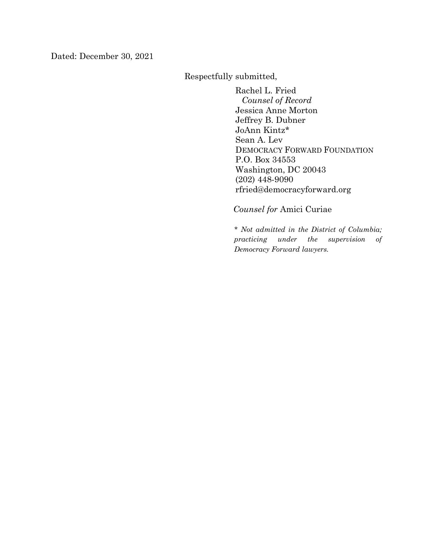Dated: December 30, 2021

Respectfully submitted,

Rachel L. Fried *Counsel of Record* Jessica Anne Morton Jeffrey B. Dubner JoAnn Kintz\* Sean A. Lev DEMOCRACY FORWARD FOUNDATION P.O. Box 34553 Washington, DC 20043 (202) 448-9090 rfried@democracyforward.org

*Counsel for* Amici Curiae

*\* Not admitted in the District of Columbia; practicing under the supervision of Democracy Forward lawyers.*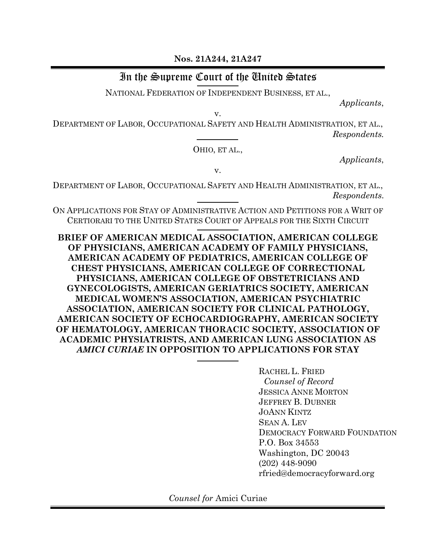**Nos. 21A244, 21A247**

# In the Supreme Court of the United States

NATIONAL FEDERATION OF INDEPENDENT BUSINESS, ET AL.,

*Applicants*,

v.

DEPARTMENT OF LABOR, OCCUPATIONAL SAFETY AND HEALTH ADMINISTRATION, ET AL., *Respondents.*

OHIO, ET AL.,

*Applicants*,

v.

DEPARTMENT OF LABOR, OCCUPATIONAL SAFETY AND HEALTH ADMINISTRATION, ET AL., *Respondents*.

ON APPLICATIONS FOR STAY OF ADMINISTRATIVE ACTION AND PETITIONS FOR A WRIT OF CERTIORARI TO THE UNITED STATES COURT OF APPEALS FOR THE SIXTH CIRCUIT

**BRIEF OF AMERICAN MEDICAL ASSOCIATION, AMERICAN COLLEGE OF PHYSICIANS, AMERICAN ACADEMY OF FAMILY PHYSICIANS, AMERICAN ACADEMY OF PEDIATRICS, AMERICAN COLLEGE OF CHEST PHYSICIANS, AMERICAN COLLEGE OF CORRECTIONAL PHYSICIANS, AMERICAN COLLEGE OF OBSTETRICIANS AND GYNECOLOGISTS, AMERICAN GERIATRICS SOCIETY, AMERICAN MEDICAL WOMEN'S ASSOCIATION, AMERICAN PSYCHIATRIC ASSOCIATION, AMERICAN SOCIETY FOR CLINICAL PATHOLOGY, AMERICAN SOCIETY OF ECHOCARDIOGRAPHY, AMERICAN SOCIETY OF HEMATOLOGY, AMERICAN THORACIC SOCIETY, ASSOCIATION OF ACADEMIC PHYSIATRISTS, AND AMERICAN LUNG ASSOCIATION AS**  *AMICI CURIAE* **IN OPPOSITION TO APPLICATIONS FOR STAY**

> RACHEL L. FRIED *Counsel of Record* JESSICA ANNE MORTON JEFFREY B. DUBNER JOANN KINTZ SEAN A. LEV DEMOCRACY FORWARD FOUNDATION P.O. Box 34553 Washington, DC 20043 (202) 448-9090 rfried@democracyforward.org

*Counsel for* Amici Curiae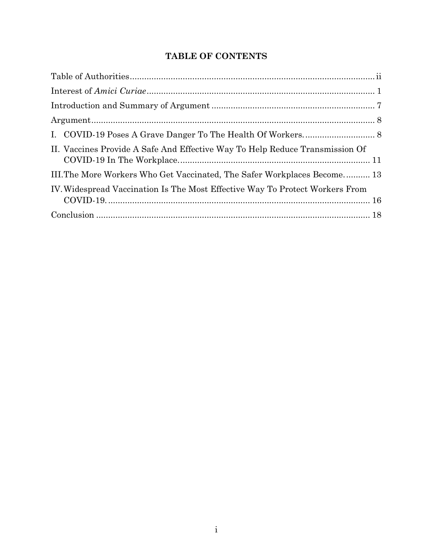## **TABLE OF CONTENTS**

| II. Vaccines Provide A Safe And Effective Way To Help Reduce Transmission Of |  |
|------------------------------------------------------------------------------|--|
| III. The More Workers Who Get Vaccinated, The Safer Workplaces Become 13     |  |
| IV. Widespread Vaccination Is The Most Effective Way To Protect Workers From |  |
|                                                                              |  |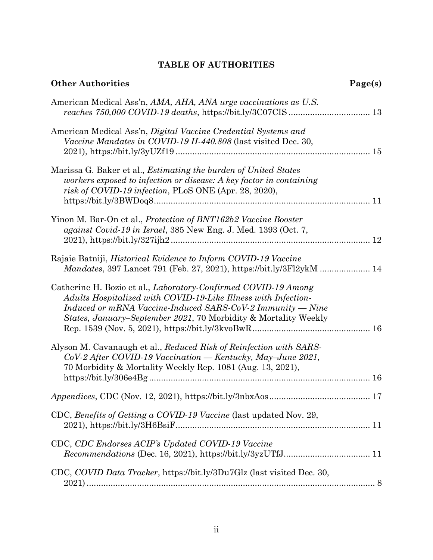## **TABLE OF AUTHORITIES**

| <b>Other Authorities</b>                                                                                                                                                                                                                                                            | Page(s) |
|-------------------------------------------------------------------------------------------------------------------------------------------------------------------------------------------------------------------------------------------------------------------------------------|---------|
| American Medical Ass'n, AMA, AHA, ANA urge vaccinations as U.S.                                                                                                                                                                                                                     |         |
| American Medical Ass'n, Digital Vaccine Credential Systems and<br>Vaccine Mandates in COVID-19 H-440.808 (last visited Dec. 30,                                                                                                                                                     |         |
| Marissa G. Baker et al., <i>Estimating the burden of United States</i><br>workers exposed to infection or disease: A key factor in containing<br>risk of COVID-19 infection, PLoS ONE (Apr. 28, 2020),                                                                              |         |
| Yinon M. Bar-On et al., <i>Protection of BNT162b2 Vaccine Booster</i><br>against Covid-19 in Israel, 385 New Eng. J. Med. 1393 (Oct. 7,                                                                                                                                             |         |
| Rajaie Batniji, <i>Historical Evidence to Inform COVID-19 Vaccine</i><br>Mandates, 397 Lancet 791 (Feb. 27, 2021), https://bit.ly/3Fl2ykM  14                                                                                                                                       |         |
| Catherine H. Bozio et al., <i>Laboratory-Confirmed COVID-19 Among</i><br>Adults Hospitalized with COVID-19-Like Illness with Infection-<br>Induced or mRNA Vaccine-Induced SARS-CoV-2 Immunity — Nine<br><i>States, January–September 2021, 70 Morbidity &amp; Mortality Weekly</i> |         |
| Alyson M. Cavanaugh et al., Reduced Risk of Reinfection with SARS-<br>CoV-2 After COVID-19 Vaccination — Kentucky, May-June 2021,<br>70 Morbidity & Mortality Weekly Rep. 1081 (Aug. 13, 2021),                                                                                     |         |
|                                                                                                                                                                                                                                                                                     |         |
| CDC, Benefits of Getting a COVID-19 Vaccine (last updated Nov. 29,                                                                                                                                                                                                                  |         |
| CDC, CDC Endorses ACIP's Updated COVID-19 Vaccine                                                                                                                                                                                                                                   |         |
| CDC, COVID Data Tracker, https://bit.ly/3Du7Glz (last visited Dec. 30,                                                                                                                                                                                                              |         |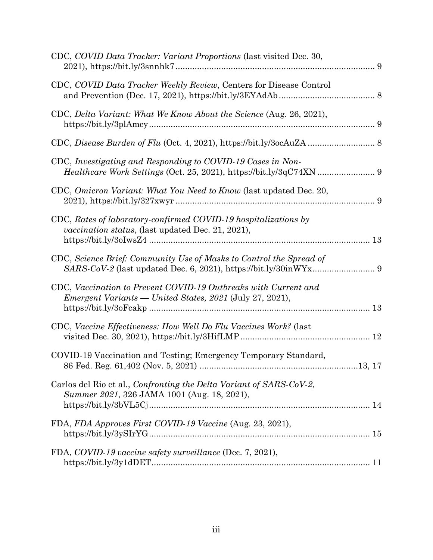| CDC, COVID Data Tracker: Variant Proportions (last visited Dec. 30,                                                                |
|------------------------------------------------------------------------------------------------------------------------------------|
| CDC, COVID Data Tracker Weekly Review, Centers for Disease Control                                                                 |
| CDC, Delta Variant: What We Know About the Science (Aug. 26, 2021),                                                                |
|                                                                                                                                    |
| CDC, Investigating and Responding to COVID-19 Cases in Non-<br>Healthcare Work Settings (Oct. 25, 2021), https://bit.ly/3qC74XN  9 |
| CDC, Omicron Variant: What You Need to Know (last updated Dec. 20,                                                                 |
| CDC, Rates of laboratory-confirmed COVID-19 hospitalizations by<br>vaccination status, (last updated Dec. 21, 2021),               |
| CDC, Science Brief: Community Use of Masks to Control the Spread of                                                                |
| CDC, Vaccination to Prevent COVID-19 Outbreaks with Current and<br><i>Emergent Variants</i> — United States, 2021 (July 27, 2021), |
| CDC, Vaccine Effectiveness: How Well Do Flu Vaccines Work? (last                                                                   |
| COVID-19 Vaccination and Testing; Emergency Temporary Standard,                                                                    |
| Carlos del Rio et al., Confronting the Delta Variant of SARS-CoV-2,<br>Summer 2021, 326 JAMA 1001 (Aug. 18, 2021),                 |
| FDA, FDA Approves First COVID-19 Vaccine (Aug. 23, 2021),                                                                          |
| FDA, COVID-19 vaccine safety surveillance (Dec. 7, 2021),                                                                          |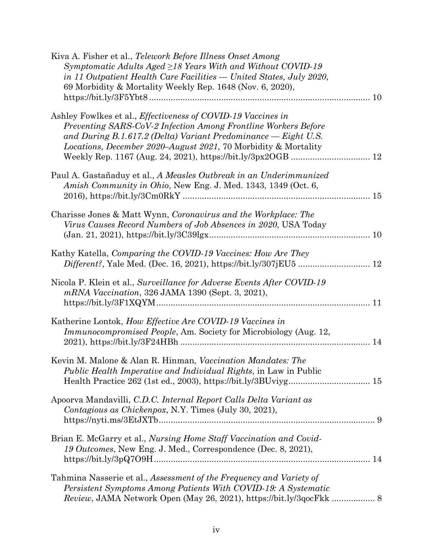| Kiva A. Fisher et al., Telework Before Illness Onset Among<br>Symptomatic Adults Aged $\geq$ 18 Years With and Without COVID-19<br>in 11 Outpatient Health Care Facilities - United States, July 2020,<br>69 Morbidity & Mortality Weekly Rep. 1648 (Nov. 6, 2020),                  |  |
|--------------------------------------------------------------------------------------------------------------------------------------------------------------------------------------------------------------------------------------------------------------------------------------|--|
| Ashley Fowlkes et al., <i>Effectiveness of COVID-19 Vaccines in</i><br>Preventing SARS-CoV-2 Infection Among Frontline Workers Before<br>and During B.1.617.2 (Delta) Variant Predominance - Eight U.S.<br><i>Locations, December 2020–August 2021, 70 Morbidity &amp; Mortality</i> |  |
| Paul A. Gastañaduy et al., A Measles Outbreak in an Underimmunized<br>Amish Community in Ohio, New Eng. J. Med. 1343, 1349 (Oct. 6,                                                                                                                                                  |  |
| Charisse Jones & Matt Wynn, Coronavirus and the Workplace: The<br>Virus Causes Record Numbers of Job Absences in 2020, USA Today                                                                                                                                                     |  |
| Kathy Katella, Comparing the COVID-19 Vaccines: How Are They                                                                                                                                                                                                                         |  |
| Nicola P. Klein et al., Surveillance for Adverse Events After COVID-19<br>mRNA Vaccination, 326 JAMA 1390 (Sept. 3, 2021),                                                                                                                                                           |  |
| Katherine Lontok, How Effective Are COVID-19 Vaccines in<br><i>Immunocompromised People, Am. Society for Microbiology (Aug. 12,</i>                                                                                                                                                  |  |
| Kevin M. Malone & Alan R. Hinman, Vaccination Mandates: The<br>Public Health Imperative and Individual Rights, in Law in Public<br>Health Practice 262 (1st ed., 2003), https://bit.ly/3BUviyg 15                                                                                    |  |
| Apoorva Mandavilli, C.D.C. Internal Report Calls Delta Variant as<br>Contagious as Chickenpox, N.Y. Times (July 30, 2021),                                                                                                                                                           |  |
| Brian E. McGarry et al., Nursing Home Staff Vaccination and Covid-<br>19 Outcomes, New Eng. J. Med., Correspondence (Dec. 8, 2021),                                                                                                                                                  |  |
| Tahmina Nasserie et al., Assessment of the Frequency and Variety of<br>Persistent Symptoms Among Patients With COVID-19: A Systematic<br>Review, JAMA Network Open (May 26, 2021), https://bit.ly/3qocFkk  8                                                                         |  |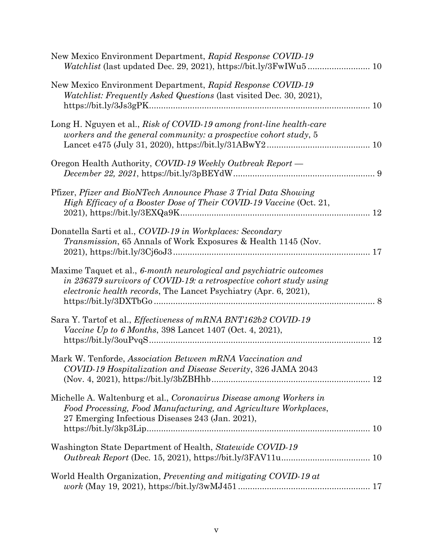| New Mexico Environment Department, Rapid Response COVID-19                                                                                                                                                             |  |
|------------------------------------------------------------------------------------------------------------------------------------------------------------------------------------------------------------------------|--|
| New Mexico Environment Department, Rapid Response COVID-19<br><i>Watchlist: Frequently Asked Questions (last visited Dec. 30, 2021),</i>                                                                               |  |
| Long H. Nguyen et al., Risk of COVID-19 among front-line health-care<br>workers and the general community: a prospective cohort study, 5                                                                               |  |
| Oregon Health Authority, COVID-19 Weekly Outbreak Report —                                                                                                                                                             |  |
| Pfizer, Pfizer and BioNTech Announce Phase 3 Trial Data Showing<br>High Efficacy of a Booster Dose of Their COVID-19 Vaccine (Oct. 21,                                                                                 |  |
| Donatella Sarti et al., COVID-19 in Workplaces: Secondary<br><i>Transmission</i> , 65 Annals of Work Exposures & Health 1145 (Nov.                                                                                     |  |
| Maxime Taquet et al., 6-month neurological and psychiatric outcomes<br>in 236379 survivors of COVID-19: a retrospective cohort study using<br><i>electronic health records</i> , The Lancet Psychiatry (Apr. 6, 2021), |  |
| Sara Y. Tartof et al., Effectiveness of mRNA BNT162b2 COVID-19<br><i>Vaccine Up to 6 Months, 398 Lancet 1407 (Oct. 4, 2021),</i>                                                                                       |  |
| Mark W. Tenforde, Association Between mRNA Vaccination and<br>COVID-19 Hospitalization and Disease Severity, 326 JAMA 2043                                                                                             |  |
| Michelle A. Waltenburg et al., Coronavirus Disease among Workers in<br>Food Processing, Food Manufacturing, and Agriculture Workplaces,<br>27 Emerging Infectious Diseases 243 (Jan. 2021),                            |  |
| Washington State Department of Health, Statewide COVID-19                                                                                                                                                              |  |
| World Health Organization, Preventing and mitigating COVID-19 at                                                                                                                                                       |  |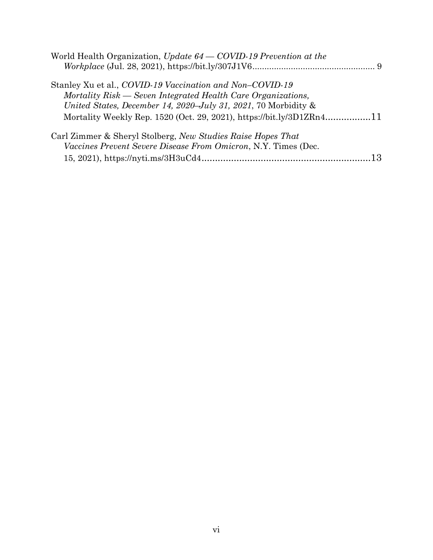| World Health Organization, Update $64 - \text{COVID-19}$ Prevention at the |  |
|----------------------------------------------------------------------------|--|
|                                                                            |  |
| Stanley Xu et al., COVID-19 Vaccination and Non-COVID-19                   |  |
| Mortality Risk — Seven Integrated Health Care Organizations,               |  |
| United States, December 14, 2020–July 31, 2021, 70 Morbidity &             |  |
| Mortality Weekly Rep. 1520 (Oct. 29, 2021), https://bit.ly/3D1ZRn411       |  |
| Carl Zimmer & Sheryl Stolberg, New Studies Raise Hopes That                |  |
| <i>Vaccines Prevent Severe Disease From Omicron, N.Y. Times (Dec.</i>      |  |
|                                                                            |  |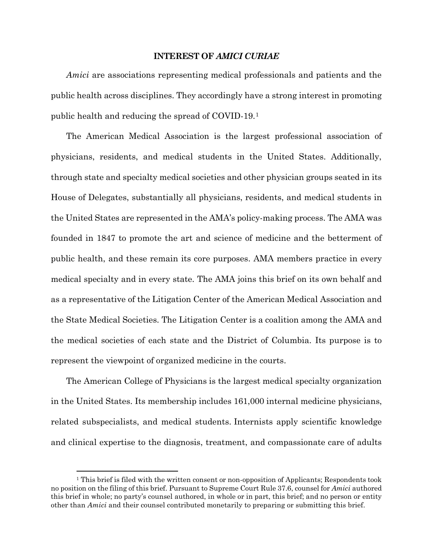#### **INTEREST OF** *AMICI CURIAE*

<span id="page-11-0"></span>*Amici* are associations representing medical professionals and patients and the public health across disciplines. They accordingly have a strong interest in promoting public health and reducing the spread of COVID-19.[1](#page-11-1)

The American Medical Association is the largest professional association of physicians, residents, and medical students in the United States. Additionally, through state and specialty medical societies and other physician groups seated in its House of Delegates, substantially all physicians, residents, and medical students in the United States are represented in the AMA's policy-making process. The AMA was founded in 1847 to promote the art and science of medicine and the betterment of public health, and these remain its core purposes. AMA members practice in every medical specialty and in every state. The AMA joins this brief on its own behalf and as a representative of the Litigation Center of the American Medical Association and the State Medical Societies. The Litigation Center is a coalition among the AMA and the medical societies of each state and the District of Columbia. Its purpose is to represent the viewpoint of organized medicine in the courts.

The American College of Physicians is the largest medical specialty organization in the United States. Its membership includes 161,000 internal medicine physicians, related subspecialists, and medical students. Internists apply scientific knowledge and clinical expertise to the diagnosis, treatment, and compassionate care of adults

<span id="page-11-1"></span><sup>&</sup>lt;sup>1</sup> This brief is filed with the written consent or non-opposition of Applicants; Respondents took no position on the filing of this brief. Pursuant to Supreme Court Rule 37.6, counsel for *Amici* authored this brief in whole; no party's counsel authored, in whole or in part, this brief; and no person or entity other than *Amici* and their counsel contributed monetarily to preparing or submitting this brief.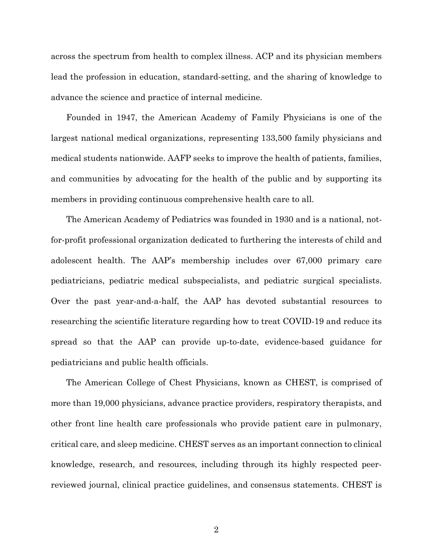across the spectrum from health to complex illness. ACP and its physician members lead the profession in education, standard-setting, and the sharing of knowledge to advance the science and practice of internal medicine.

Founded in 1947, the American Academy of Family Physicians is one of the largest national medical organizations, representing 133,500 family physicians and medical students nationwide. AAFP seeks to improve the health of patients, families, and communities by advocating for the health of the public and by supporting its members in providing continuous comprehensive health care to all.

The American Academy of Pediatrics was founded in 1930 and is a national, notfor-profit professional organization dedicated to furthering the interests of child and adolescent health. The AAP's membership includes over 67,000 primary care pediatricians, pediatric medical subspecialists, and pediatric surgical specialists. Over the past year-and-a-half, the AAP has devoted substantial resources to researching the scientific literature regarding how to treat COVID-19 and reduce its spread so that the AAP can provide up-to-date, evidence-based guidance for pediatricians and public health officials.

The American College of Chest Physicians, known as CHEST, is comprised of more than 19,000 physicians, advance practice providers, respiratory therapists, and other front line health care professionals who provide patient care in pulmonary, critical care, and sleep medicine. CHEST serves as an important connection to clinical knowledge, research, and resources, including through its highly respected peerreviewed journal, clinical practice guidelines, and consensus statements. CHEST is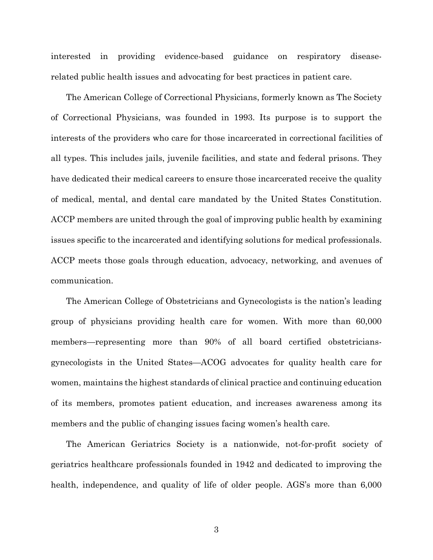interested in providing evidence-based guidance on respiratory diseaserelated public health issues and advocating for best practices in patient care.

The American College of Correctional Physicians, formerly known as The Society of Correctional Physicians, was founded in 1993. Its purpose is to support the interests of the providers who care for those incarcerated in correctional facilities of all types. This includes jails, juvenile facilities, and state and federal prisons. They have dedicated their medical careers to ensure those incarcerated receive the quality of medical, mental, and dental care mandated by the United States Constitution. ACCP members are united through the goal of improving public health by examining issues specific to the incarcerated and identifying solutions for medical professionals. ACCP meets those goals through education, advocacy, networking, and avenues of communication.

The American College of Obstetricians and Gynecologists is the nation's leading group of physicians providing health care for women. With more than 60,000 members—representing more than 90% of all board certified obstetriciansgynecologists in the United States—ACOG advocates for quality health care for women, maintains the highest standards of clinical practice and continuing education of its members, promotes patient education, and increases awareness among its members and the public of changing issues facing women's health care.

The American Geriatrics Society is a nationwide, not-for-profit society of geriatrics healthcare professionals founded in 1942 and dedicated to improving the health, independence, and quality of life of older people. AGS's more than 6,000

3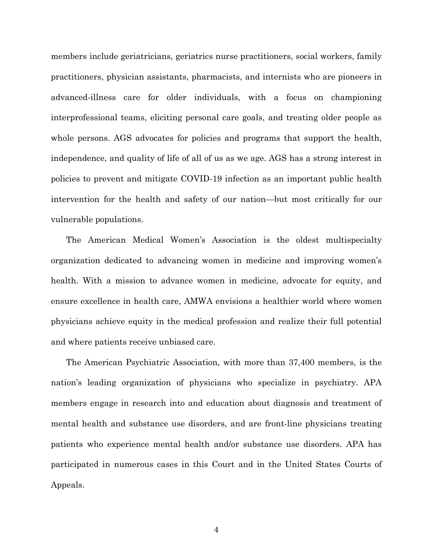members include geriatricians, geriatrics nurse practitioners, social workers, family practitioners, physician assistants, pharmacists, and internists who are pioneers in advanced-illness care for older individuals, with a focus on championing interprofessional teams, eliciting personal care goals, and treating older people as whole persons. AGS advocates for policies and programs that support the health, independence, and quality of life of all of us as we age. AGS has a strong interest in policies to prevent and mitigate COVID-19 infection as an important public health intervention for the health and safety of our nation—but most critically for our vulnerable populations.

The American Medical Women's Association is the oldest multispecialty organization dedicated to advancing women in medicine and improving women's health. With a mission to advance women in medicine, advocate for equity, and ensure excellence in health care, AMWA envisions a healthier world where women physicians achieve equity in the medical profession and realize their full potential and where patients receive unbiased care.

The American Psychiatric Association, with more than 37,400 members, is the nation's leading organization of physicians who specialize in psychiatry. APA members engage in research into and education about diagnosis and treatment of mental health and substance use disorders, and are front-line physicians treating patients who experience mental health and/or substance use disorders. APA has participated in numerous cases in this Court and in the United States Courts of Appeals.

4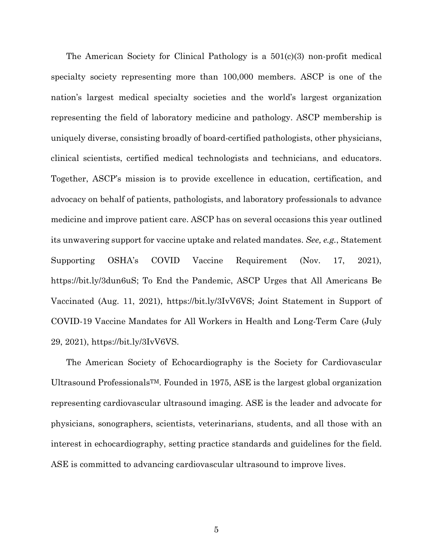The American Society for Clinical Pathology is a  $501(c)(3)$  non-profit medical specialty society representing more than 100,000 members. ASCP is one of the nation's largest medical specialty societies and the world's largest organization representing the field of laboratory medicine and pathology. ASCP membership is uniquely diverse, consisting broadly of board-certified pathologists, other physicians, clinical scientists, certified medical technologists and technicians, and educators. Together, ASCP's mission is to provide excellence in education, certification, and advocacy on behalf of patients, pathologists, and laboratory professionals to advance medicine and improve patient care. ASCP has on several occasions this year outlined its unwavering support for vaccine uptake and related mandates. *See, e.g.*, Statement Supporting OSHA's COVID Vaccine Requirement (Nov. 17, 2021), https://bit.ly/3dun6uS; To End the Pandemic, ASCP Urges that All Americans Be Vaccinated (Aug. 11, 2021), https://bit.ly/3IvV6VS; Joint Statement in Support of COVID-19 Vaccine Mandates for All Workers in Health and Long-Term Care (July 29, 2021), https://bit.ly/3IvV6VS.

The American Society of Echocardiography is the Society for Cardiovascular Ultrasound Professionals<sup>TM</sup>. Founded in 1975, ASE is the largest global organization representing cardiovascular ultrasound imaging. ASE is the leader and advocate for physicians, sonographers, scientists, veterinarians, students, and all those with an interest in echocardiography, setting practice standards and guidelines for the field. ASE is committed to advancing cardiovascular ultrasound to improve lives.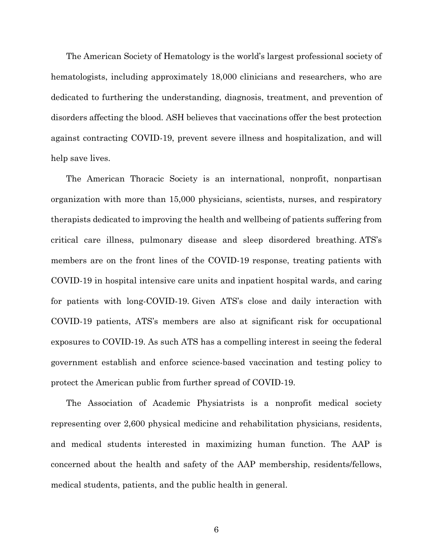The American Society of Hematology is the world's largest professional society of hematologists, including approximately 18,000 clinicians and researchers, who are dedicated to furthering the understanding, diagnosis, treatment, and prevention of disorders affecting the blood. ASH believes that vaccinations offer the best protection against contracting COVID-19, prevent severe illness and hospitalization, and will help save lives.

The American Thoracic Society is an international, nonprofit, nonpartisan organization with more than 15,000 physicians, scientists, nurses, and respiratory therapists dedicated to improving the health and wellbeing of patients suffering from critical care illness, pulmonary disease and sleep disordered breathing. ATS's members are on the front lines of the COVID-19 response, treating patients with COVID-19 in hospital intensive care units and inpatient hospital wards, and caring for patients with long-COVID-19. Given ATS's close and daily interaction with COVID-19 patients, ATS's members are also at significant risk for occupational exposures to COVID-19. As such ATS has a compelling interest in seeing the federal government establish and enforce science-based vaccination and testing policy to protect the American public from further spread of COVID-19.

The Association of Academic Physiatrists is a nonprofit medical society representing over 2,600 physical medicine and rehabilitation physicians, residents, and medical students interested in maximizing human function. The AAP is concerned about the health and safety of the AAP membership, residents/fellows, medical students, patients, and the public health in general.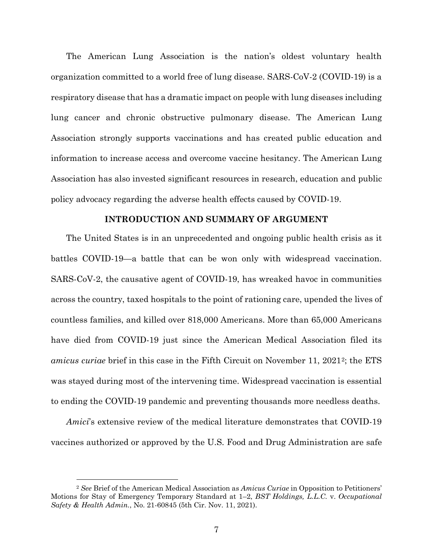The American Lung Association is the nation's oldest voluntary health organization committed to a world free of lung disease. SARS-CoV-2 (COVID-19) is a respiratory disease that has a dramatic impact on people with lung diseases including lung cancer and chronic obstructive pulmonary disease. The American Lung Association strongly supports vaccinations and has created public education and information to increase access and overcome vaccine hesitancy. The American Lung Association has also invested significant resources in research, education and public policy advocacy regarding the adverse health effects caused by COVID-19.

#### **INTRODUCTION AND SUMMARY OF ARGUMENT**

<span id="page-17-0"></span>The United States is in an unprecedented and ongoing public health crisis as it battles COVID-19—a battle that can be won only with widespread vaccination. SARS-CoV-2, the causative agent of COVID-19, has wreaked havoc in communities across the country, taxed hospitals to the point of rationing care, upended the lives of countless families, and killed over 818,000 Americans. More than 65,000 Americans have died from COVID-19 just since the American Medical Association filed its *amicus curiae* brief in this case in the Fifth Circuit on November 11, 2021[2](#page-17-1); the ETS was stayed during most of the intervening time. Widespread vaccination is essential to ending the COVID-19 pandemic and preventing thousands more needless deaths.

*Amici*'s extensive review of the medical literature demonstrates that COVID-19 vaccines authorized or approved by the U.S. Food and Drug Administration are safe

<span id="page-17-1"></span><sup>2</sup> *See* Brief of the American Medical Association as *Amicus Curiae* in Opposition to Petitioners' Motions for Stay of Emergency Temporary Standard at 1–2, *BST Holdings, L.L.C.* v. *Occupational Safety & Health Admin.*, No. 21-60845 (5th Cir. Nov. 11, 2021).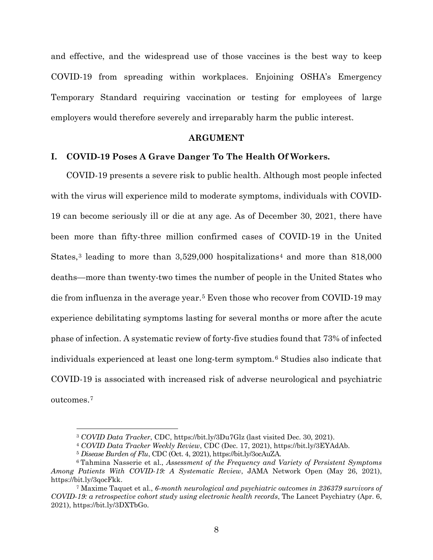and effective, and the widespread use of those vaccines is the best way to keep COVID-19 from spreading within workplaces. Enjoining OSHA's Emergency Temporary Standard requiring vaccination or testing for employees of large employers would therefore severely and irreparably harm the public interest.

#### **ARGUMENT**

#### <span id="page-18-1"></span><span id="page-18-0"></span>**I. COVID-19 Poses A Grave Danger To The Health Of Workers.**

COVID-19 presents a severe risk to public health. Although most people infected with the virus will experience mild to moderate symptoms, individuals with COVID-19 can become seriously ill or die at any age. As of December 30, 2021, there have been more than fifty-three million confirmed cases of COVID-19 in the United States,<sup>[3](#page-18-2)</sup> leading to more than  $3,529,000$  hospitalizations<sup>[4](#page-18-3)</sup> and more than  $818,000$ deaths—more than twenty-two times the number of people in the United States who die from influenza in the average year.[5](#page-18-4) Even those who recover from COVID-19 may experience debilitating symptoms lasting for several months or more after the acute phase of infection. A systematic review of forty-five studies found that 73% of infected individuals experienced at least one long-term symptom.[6](#page-18-5) Studies also indicate that COVID-19 is associated with increased risk of adverse neurological and psychiatric outcomes.[7](#page-18-6)

<sup>3</sup> *COVID Data Tracker*, CDC, https://bit.ly/3Du7Glz (last visited Dec. 30, 2021). 4 *COVID Data Tracker Weekly Review*, CDC (Dec. 17, 2021), https://bit.ly/3EYAdAb.

<span id="page-18-5"></span><span id="page-18-4"></span><span id="page-18-3"></span><span id="page-18-2"></span><sup>5</sup> *Disease Burden of Flu*, CDC (Oct. 4, 2021), https://bit.ly/3ocAuZA. 6 Tahmina Nasserie et al., *Assessment of the Frequency and Variety of Persistent Symptoms Among Patients With COVID-19: A Systematic Review*, JAMA Network Open (May 26, 2021), https://bit.ly/3qocFkk.

<span id="page-18-6"></span><sup>7</sup> Maxime Taquet et al., *6-month neurological and psychiatric outcomes in 236379 survivors of COVID-19: a retrospective cohort study using electronic health records*, The Lancet Psychiatry (Apr. 6, 2021), https://bit.ly/3DXTbGo.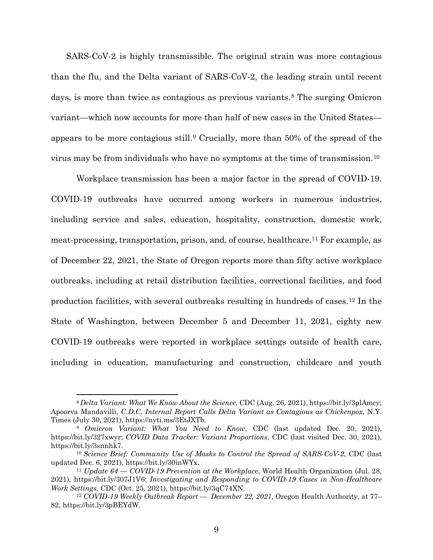SARS-CoV-2 is highly transmissible. The original strain was more contagious than the flu, and the Delta variant of SARS-CoV-2, the leading strain until recent days, is more than twice as contagious as previous variants.<sup>[8](#page-19-0)</sup> The surging Omicron variant—which now accounts for more than half of new cases in the United States appears to be more contagious still.[9](#page-19-1) Crucially, more than 50% of the spread of the virus may be from individuals who have no symptoms at the time of transmission.[10](#page-19-2) 

Workplace transmission has been a major factor in the spread of COVID-19. COVID-19 outbreaks have occurred among workers in numerous industries, including service and sales, education, hospitality, construction, domestic work, meat-processing, transportation, prison, and, of course, healthcare.[11](#page-19-3) For example, as of December 22, 2021, the State of Oregon reports more than fifty active workplace outbreaks, including at retail distribution facilities, correctional facilities, and food production facilities, with several outbreaks resulting in hundreds of cases.[12](#page-19-4) In the State of Washington, between December 5 and December 11, 2021, eighty new COVID-19 outbreaks were reported in workplace settings outside of health care, including in education, manufacturing and construction, childcare and youth

<span id="page-19-0"></span><sup>8</sup>*Delta Variant: What We Know About the Science*, CDC (Aug. 26, 2021), https://bit.ly/3plAmcy; Apoorva Mandavilli, *C.D.C. Internal Report Calls Delta Variant as Contagious as Chickenpox*, N.Y. Times (July 30, 2021), [https://nyti.ms/3EtJXTb.](https://nyti.ms/3EtJXTb)<br><sup>9</sup> *Omicron Variant: What You Need to Know*, CDC (last updated Dec. 20, 2021),

<span id="page-19-1"></span>https://bit.ly/327xwyr; *COVID Data Tracker: Variant Proportions*, CDC (last visited Dec. 30, 2021), https://bit.ly/3snnhk7. 10 *Science Brief: Community Use of Masks to Control the Spread of SARS-CoV-2*, CDC (last

<span id="page-19-2"></span>updated Dec. 6, 2021), https://bit.ly/30inWYx.

<span id="page-19-3"></span><sup>11</sup> *Update 64 — COVID-19 Prevention at the Workplace*, World Health Organization (Jul. 28, 2021), https://bit.ly/307J1V6; *Investigating and Responding to COVID-19 Cases in Non-Healthcare Work Settings*, CDC (Oct. 25, 2021), https://bit.ly/3qC74XN.

<span id="page-19-4"></span><sup>12</sup> *COVID-19 Weekly Outbreak Report — December 22, 2021*, Oregon Health Authority, at 77– 82, https://bit.ly/3pBEYdW.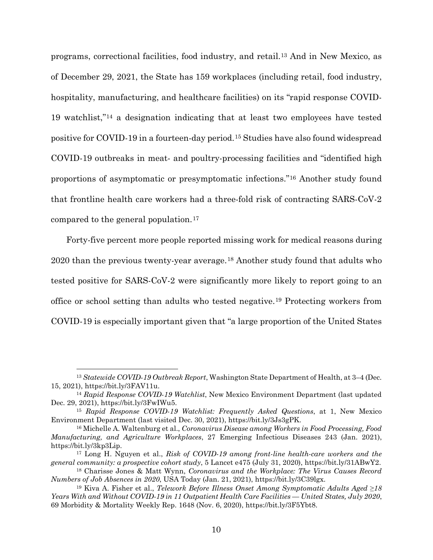programs, correctional facilities, food industry, and retail.[13](#page-20-0) And in New Mexico, as of December 29, 2021, the State has 159 workplaces (including retail, food industry, hospitality, manufacturing, and healthcare facilities) on its "rapid response COVID-19 watchlist,["14](#page-20-1) a designation indicating that at least two employees have tested positive for COVID-19 in a fourteen-day period.[15](#page-20-2) Studies have also found widespread COVID-19 outbreaks in meat- and poultry-processing facilities and "identified high proportions of asymptomatic or presymptomatic infections."[16](#page-20-3) Another study found that frontline health care workers had a three-fold risk of contracting SARS-CoV-2 compared to the general population.[17](#page-20-4)

Forty-five percent more people reported missing work for medical reasons during 2020 than the previous twenty-year average.[18](#page-20-5) Another study found that adults who tested positive for SARS-CoV-2 were significantly more likely to report going to an office or school setting than adults who tested negative.[19](#page-20-6) Protecting workers from COVID-19 is especially important given that "a large proportion of the United States

<span id="page-20-0"></span><sup>13</sup> *Statewide COVID‐19 Outbreak Report*, Washington State Department of Health, at 3–4 (Dec. 15, 2021), https://bit.ly/3FAV11u. 14 *Rapid Response COVID-19 Watchlist*, New Mexico Environment Department (last updated

<span id="page-20-1"></span>Dec. 29, 2021), https://bit.ly/3FwIWu5. 15 *Rapid Response COVID-19 Watchlist: Frequently Asked Questions*, at 1, New Mexico

<span id="page-20-2"></span>Environment Department (last visited Dec. 30, 2021), https://bit.ly/3Js3gPK. 16 Michelle A. Waltenburg et al., *Coronavirus Disease among Workers in Food Processing, Food* 

<span id="page-20-3"></span>*Manufacturing, and Agriculture Workplaces*, 27 Emerging Infectious Diseases 243 (Jan. 2021), https://bit.ly/3kp3Lip.

<span id="page-20-4"></span><sup>17</sup> Long H. Nguyen et al., *Risk of COVID-19 among front-line health-care workers and the general community: a prospective cohort study*, 5 Lancet e475 (July 31, 2020), https://bit.ly/31ABwY2.

<span id="page-20-5"></span><sup>18</sup> Charisse Jones & Matt Wynn, *Coronavirus and the Workplace: The Virus Causes Record Numbers of Job Absences in 2020*, USA Today (Jan. 21, 2021), https://bit.ly/3C39lgx.

<span id="page-20-6"></span><sup>19</sup> Kiva A. Fisher et al., *Telework Before Illness Onset Among Symptomatic Adults Aged ≥18 Years With and Without COVID-19 in 11 Outpatient Health Care Facilities — United States, July 2020*, 69 Morbidity & Mortality Weekly Rep. 1648 (Nov. 6, 2020), https://bit.ly/3F5Ybt8.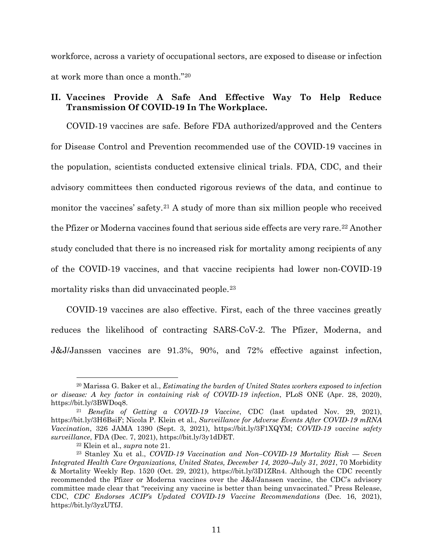workforce, across a variety of occupational sectors, are exposed to disease or infection at work more than once a month."[20](#page-21-1)

### <span id="page-21-0"></span>**II. Vaccines Provide A Safe And Effective Way To Help Reduce Transmission Of COVID-19 In The Workplace.**

COVID-19 vaccines are safe. Before FDA authorized/approved and the Centers for Disease Control and Prevention recommended use of the COVID-19 vaccines in the population, scientists conducted extensive clinical trials. FDA, CDC, and their advisory committees then conducted rigorous reviews of the data, and continue to monitor the vaccines' safety.<sup>[21](#page-21-2)</sup> A study of more than six million people who received the Pfizer or Moderna vaccines found that serious side effects are very rare.<sup>[22](#page-21-3)</sup> Another study concluded that there is no increased risk for mortality among recipients of any of the COVID-19 vaccines, and that vaccine recipients had lower non-COVID-19 mortality risks than did unvaccinated people.<sup>[23](#page-21-4)</sup>

COVID-19 vaccines are also effective. First, each of the three vaccines greatly reduces the likelihood of contracting SARS-CoV-2. The Pfizer, Moderna, and J&J/Janssen vaccines are 91.3%, 90%, and 72% effective against infection,

<span id="page-21-1"></span><sup>20</sup> Marissa G. Baker et al., *Estimating the burden of United States workers exposed to infection or disease: A key factor in containing risk of COVID-19 infection*, PLoS ONE (Apr. 28, 2020), https://bit.ly/3BWDoq8.

<span id="page-21-2"></span><sup>21</sup> *Benefits of Getting a COVID-19 Vaccine*, CDC (last updated Nov. 29, 2021), https://bit.ly/3H6BsiF; Nicola P. Klein et al., *Surveillance for Adverse Events After COVID-19 mRNA Vaccination*, 326 JAMA 1390 (Sept. 3, 2021), https://bit.ly/3F1XQYM; *COVID-19 vaccine safety surveillance*, FDA (Dec. 7, 2021), https://bit.ly/3y1dDET.

<span id="page-21-4"></span><span id="page-21-3"></span><sup>&</sup>lt;sup>22</sup> Klein et al., *supra* note 21.<br><sup>23</sup> Stanley Xu et al., *COVID-19 Vaccination and Non–COVID-19 Mortality Risk* — Seven *Integrated Health Care Organizations, United States, December 14, 2020–July 31, 2021*, 70 Morbidity & Mortality Weekly Rep. 1520 (Oct. 29, 2021), https://bit.ly/3D1ZRn4. Although the CDC recently recommended the Pfizer or Moderna vaccines over the J&J/Janssen vaccine, the CDC's advisory committee made clear that "receiving any vaccine is better than being unvaccinated." Press Release, CDC, *CDC Endorses ACIP's Updated COVID-19 Vaccine Recommendations* (Dec. 16, 2021), https://bit.ly/3yzUTfJ.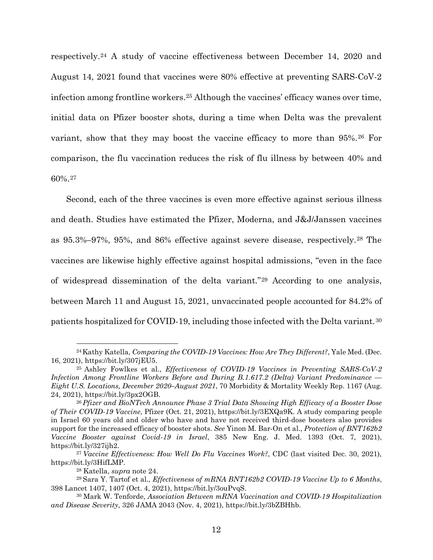respectively.[24](#page-22-0) A study of vaccine effectiveness between December 14, 2020 and August 14, 2021 found that vaccines were 80% effective at preventing SARS-CoV-2 infection among frontline workers.[25](#page-22-1) Although the vaccines' efficacy wanes over time, initial data on Pfizer booster shots, during a time when Delta was the prevalent variant, show that they may boost the vaccine efficacy to more than 95%.[26](#page-22-2) For comparison, the flu vaccination reduces the risk of flu illness by between 40% and 60%.[27](#page-22-3)

Second, each of the three vaccines is even more effective against serious illness and death. Studies have estimated the Pfizer, Moderna, and J&J/Janssen vaccines as 95.3%–97%, 95%, and 86% effective against severe disease, respectively.[28](#page-22-4) The vaccines are likewise highly effective against hospital admissions, "even in the face of widespread dissemination of the delta variant."[29](#page-22-5) According to one analysis, between March 11 and August 15, 2021, unvaccinated people accounted for 84.2% of patients hospitalized for COVID-19, including those infected with the Delta variant.[30](#page-22-6)

<span id="page-22-0"></span><sup>24</sup>Kathy Katella, *Comparing the COVID-19 Vaccines: How Are They Different?*, Yale Med. (Dec. 16, 2021), https://bit.ly/307jEU5.

<span id="page-22-1"></span><sup>25</sup> Ashley Fowlkes et al., *Effectiveness of COVID-19 Vaccines in Preventing SARS-CoV-2 Infection Among Frontline Workers Before and During B.1.617.2 (Delta) Variant Predominance — Eight U.S. Locations, December 2020–August 2021*, 70 Morbidity & Mortality Weekly Rep. 1167 (Aug. 24, 2021), https://bit.ly/3px2OGB.

<span id="page-22-2"></span><sup>26</sup> *Pfizer and BioNTech Announce Phase 3 Trial Data Showing High Efficacy of a Booster Dose of Their COVID-19 Vaccine*, Pfizer (Oct. 21, 2021), https://bit.ly/3EXQa9K. A study comparing people in Israel 60 years old and older who have and have not received third-dose boosters also provides support for the increased efficacy of booster shots. *See* Yinon M. Bar-On et al., *Protection of BNT162b2 Vaccine Booster against Covid-19 in Israel*, 385 New Eng. J. Med. 1393 (Oct. 7, 2021), https://bit.ly/327ijh2. 27 *Vaccine Effectiveness: How Well Do Flu Vaccines Work?*, CDC (last visited Dec. 30, 2021),

<span id="page-22-3"></span>https://bit.ly/3HifLMP.

<sup>28</sup> Katella, *supra* note 24.

<span id="page-22-5"></span><span id="page-22-4"></span><sup>29</sup> Sara Y. Tartof et al., *Effectiveness of mRNA BNT162b2 COVID-19 Vaccine Up to 6 Months*, 398 Lancet 1407, 1407 (Oct. 4, 2021), https://bit.ly/3ouPvqS.

<span id="page-22-6"></span><sup>30</sup> Mark W. Tenforde, *Association Between mRNA Vaccination and COVID-19 Hospitalization and Disease Severity*, 326 JAMA 2043 (Nov. 4, 2021), https://bit.ly/3bZBHhb.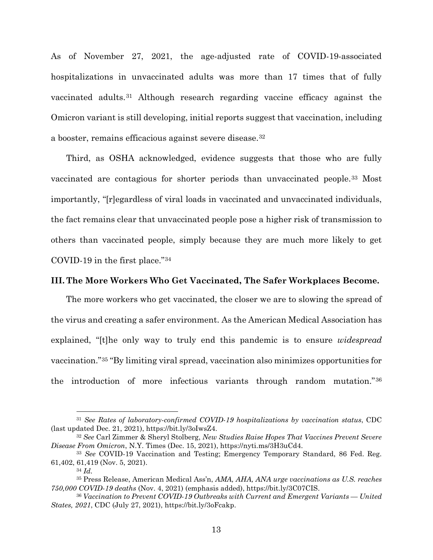As of November 27, 2021, the age-adjusted rate of COVID-19-associated hospitalizations in unvaccinated adults was more than 17 times that of fully vaccinated adults.[31](#page-23-1) Although research regarding vaccine efficacy against the Omicron variant is still developing, initial reports suggest that vaccination, including a booster, remains efficacious against severe disease.[32](#page-23-2)

Third, as OSHA acknowledged, evidence suggests that those who are fully vaccinated are contagious for shorter periods than unvaccinated people.[33](#page-23-3) Most importantly, "[r]egardless of viral loads in vaccinated and unvaccinated individuals, the fact remains clear that unvaccinated people pose a higher risk of transmission to others than vaccinated people, simply because they are much more likely to get COVID-19 in the first place."[34](#page-23-4)

### <span id="page-23-0"></span>**III. The More Workers Who Get Vaccinated, The Safer Workplaces Become.**

The more workers who get vaccinated, the closer we are to slowing the spread of the virus and creating a safer environment. As the American Medical Association has explained, "[t]he only way to truly end this pandemic is to ensure *widespread* vaccination."[35](#page-23-5) "By limiting viral spread, vaccination also minimizes opportunities for the introduction of more infectious variants through random mutation."[36](#page-23-6)

<span id="page-23-1"></span><sup>31</sup> *See Rates of laboratory-confirmed COVID-19 hospitalizations by vaccination status*, CDC (last updated Dec. 21, 2021), https://bit.ly/3oIwsZ4.

<span id="page-23-2"></span><sup>32</sup> *See* Carl Zimmer & Sheryl Stolberg, *New Studies Raise Hopes That Vaccines Prevent Severe Disease From Omicron*, N.Y. Times (Dec. 15, 2021), https://nyti.ms/3H3uCd4.<br><sup>33</sup> *See* COVID-19 Vaccination and Testing; Emergency Temporary Standard, 86 Fed. Reg.

<span id="page-23-3"></span><sup>61,402, 61,419 (</sup>Nov. 5, 2021).

<sup>34</sup> *Id.*

<span id="page-23-5"></span><span id="page-23-4"></span><sup>35</sup> Press Release, American Medical Ass'n, *AMA, AHA, ANA urge vaccinations as U.S. reaches 750,000 COVID-19 deaths* (Nov. 4, 2021) (emphasis added), https://bit.ly/3C07CIS.

<span id="page-23-6"></span><sup>36</sup> *Vaccination to Prevent COVID-19 Outbreaks with Current and Emergent Variants — United States, 2021*, CDC (July 27, 2021), https://bit.ly/3oFcakp.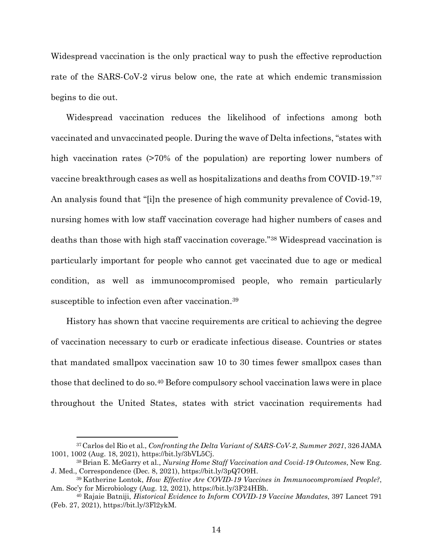Widespread vaccination is the only practical way to push the effective reproduction rate of the SARS-CoV-2 virus below one, the rate at which endemic transmission begins to die out.

Widespread vaccination reduces the likelihood of infections among both vaccinated and unvaccinated people. During the wave of Delta infections, "states with high vaccination rates  $(270\% \text{ of the population})$  are reporting lower numbers of vaccine breakthrough cases as well as hospitalizations and deaths from COVID-19."[37](#page-24-0) An analysis found that "[i]n the presence of high community prevalence of Covid-19, nursing homes with low staff vaccination coverage had higher numbers of cases and deaths than those with high staff vaccination coverage."[38](#page-24-1) Widespread vaccination is particularly important for people who cannot get vaccinated due to age or medical condition, as well as immunocompromised people, who remain particularly susceptible to infection even after vaccination.<sup>[39](#page-24-2)</sup>

History has shown that vaccine requirements are critical to achieving the degree of vaccination necessary to curb or eradicate infectious disease. Countries or states that mandated smallpox vaccination saw 10 to 30 times fewer smallpox cases than those that declined to do so[.40](#page-24-3) Before compulsory school vaccination laws were in place throughout the United States, states with strict vaccination requirements had

<span id="page-24-0"></span><sup>37</sup>Carlos del Rio et al., *Confronting the Delta Variant of SARS-CoV-2*, *Summer 2021*, 326 JAMA 1001, 1002 (Aug. 18, 2021), https://bit.ly/3bVL5Cj.

<span id="page-24-1"></span><sup>38</sup> Brian E. McGarry et al., *Nursing Home Staff Vaccination and Covid-19 Outcomes*, New Eng. J. Med., Correspondence (Dec. 8, 2021), https://bit.ly/3pQ7O9H.

<span id="page-24-2"></span><sup>39</sup> Katherine Lontok, *How Effective Are COVID-19 Vaccines in Immunocompromised People?*, Am. Soc'y for Microbiology (Aug. 12, 2021), https://bit.ly/3F24HBh.

<span id="page-24-3"></span><sup>40</sup> Rajaie Batniji, *Historical Evidence to Inform COVID-19 Vaccine Mandates*, 397 Lancet 791 (Feb. 27, 2021), https://bit.ly/3Fl2ykM.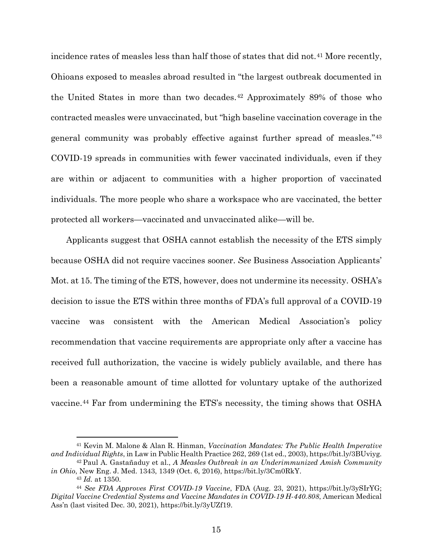incidence rates of measles less than half those of states that did not.<sup>[41](#page-25-0)</sup> More recently, Ohioans exposed to measles abroad resulted in "the largest outbreak documented in the United States in more than two decades.[42](#page-25-1) Approximately 89% of those who contracted measles were unvaccinated, but "high baseline vaccination coverage in the general community was probably effective against further spread of measles."[43](#page-25-2) COVID-19 spreads in communities with fewer vaccinated individuals, even if they are within or adjacent to communities with a higher proportion of vaccinated individuals. The more people who share a workspace who are vaccinated, the better protected all workers—vaccinated and unvaccinated alike—will be.

Applicants suggest that OSHA cannot establish the necessity of the ETS simply because OSHA did not require vaccines sooner. *See* Business Association Applicants' Mot. at 15. The timing of the ETS, however, does not undermine its necessity. OSHA's decision to issue the ETS within three months of FDA's full approval of a COVID-19 vaccine was consistent with the American Medical Association's policy recommendation that vaccine requirements are appropriate only after a vaccine has received full authorization, the vaccine is widely publicly available, and there has been a reasonable amount of time allotted for voluntary uptake of the authorized vaccine.[44](#page-25-3) Far from undermining the ETS's necessity, the timing shows that OSHA

<span id="page-25-0"></span><sup>41</sup> Kevin M. Malone & Alan R. Hinman, *Vaccination Mandates: The Public Health Imperative and Individual Rights*, in Law in Public Health Practice 262, 269 (1st ed., 2003), https://bit.ly/3BUviyg.

<span id="page-25-1"></span><sup>42</sup> Paul A. Gastañaduy et al., *A Measles Outbreak in an Underimmunized Amish Community in Ohio*, New Eng. J. Med. 1343, 1349 (Oct. 6, 2016), https://bit.ly/3Cm0RkY.

<sup>43</sup> *Id.* at 1350.

<span id="page-25-3"></span><span id="page-25-2"></span><sup>44</sup> *See FDA Approves First COVID-19 Vaccine*, FDA (Aug. 23, 2021), https://bit.ly/3ySIrYG; *Digital Vaccine Credential Systems and Vaccine Mandates in COVID-19 H-440.808*, American Medical Ass'n (last visited Dec. 30, 2021), https://bit.ly/3yUZf19.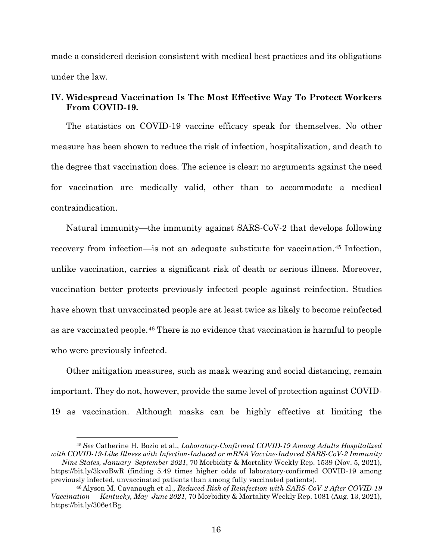made a considered decision consistent with medical best practices and its obligations under the law.

### <span id="page-26-0"></span>**IV. Widespread Vaccination Is The Most Effective Way To Protect Workers From COVID-19.**

The statistics on COVID-19 vaccine efficacy speak for themselves. No other measure has been shown to reduce the risk of infection, hospitalization, and death to the degree that vaccination does. The science is clear: no arguments against the need for vaccination are medically valid, other than to accommodate a medical contraindication.

Natural immunity—the immunity against SARS-CoV-2 that develops following recovery from infection—is not an adequate substitute for vaccination.[45](#page-26-1) Infection, unlike vaccination, carries a significant risk of death or serious illness. Moreover, vaccination better protects previously infected people against reinfection. Studies have shown that unvaccinated people are at least twice as likely to become reinfected as are vaccinated people.[46](#page-26-2) There is no evidence that vaccination is harmful to people who were previously infected.

Other mitigation measures, such as mask wearing and social distancing, remain important. They do not, however, provide the same level of protection against COVID-19 as vaccination. Although masks can be highly effective at limiting the

<span id="page-26-1"></span><sup>45</sup> *See* Catherine H. Bozio et al., *Laboratory-Confirmed COVID-19 Among Adults Hospitalized with COVID-19-Like Illness with Infection-Induced or mRNA Vaccine-Induced SARS-CoV-2 Immunity — Nine States, January–September 2021*, 70 Morbidity & Mortality Weekly Rep. 1539 (Nov. 5, 2021), https://bit.ly/3kvoBwR (finding 5.49 times higher odds of laboratory-confirmed COVID-19 among previously infected, unvaccinated patients than among fully vaccinated patients).

<span id="page-26-2"></span><sup>46</sup> Alyson M. Cavanaugh et al., *Reduced Risk of Reinfection with SARS-CoV-2 After COVID-19 Vaccination — Kentucky, May–June 2021*, 70 Morbidity & Mortality Weekly Rep. 1081 (Aug. 13, 2021), https://bit.ly/306e4Bg.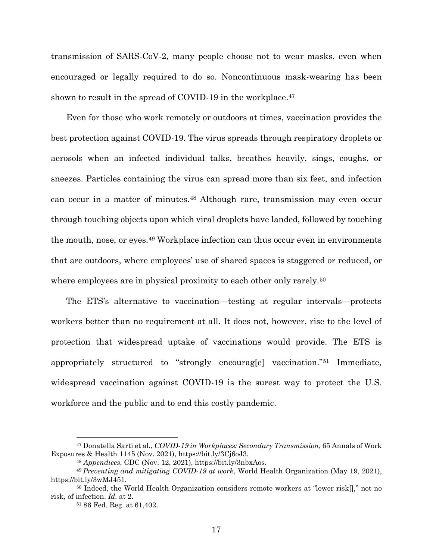transmission of SARS-CoV-2, many people choose not to wear masks, even when encouraged or legally required to do so. Noncontinuous mask-wearing has been shown to result in the spread of COVID-19 in the workplace.<sup>[47](#page-27-0)</sup>

Even for those who work remotely or outdoors at times, vaccination provides the best protection against COVID-19. The virus spreads through respiratory droplets or aerosols when an infected individual talks, breathes heavily, sings, coughs, or sneezes. Particles containing the virus can spread more than six feet, and infection can occur in a matter of minutes.[48](#page-27-1) Although rare, transmission may even occur through touching objects upon which viral droplets have landed, followed by touching the mouth, nose, or eyes.[49](#page-27-2) Workplace infection can thus occur even in environments that are outdoors, where employees' use of shared spaces is staggered or reduced, or where employees are in physical proximity to each other only rarely.<sup>[50](#page-27-3)</sup>

The ETS's alternative to vaccination—testing at regular intervals—protects workers better than no requirement at all. It does not, however, rise to the level of protection that widespread uptake of vaccinations would provide. The ETS is appropriately structured to "strongly encourag[e] vaccination."[51](#page-27-4) Immediate, widespread vaccination against COVID-19 is the surest way to protect the U.S. workforce and the public and to end this costly pandemic.

<span id="page-27-0"></span><sup>47</sup> Donatella Sarti et al., *COVID-19 in Workplaces: Secondary Transmission*, 65 Annals of Work Exposures & Health 1145 (Nov. 2021), https://bit.ly/3Cj6oJ3.

<sup>48</sup> *Appendices*, CDC (Nov. 12, 2021), https://bit.ly/3nbxAos.

<span id="page-27-2"></span><span id="page-27-1"></span><sup>49</sup> *Preventing and mitigating COVID-19 at work*, World Health Organization (May 19, 2021), https://bit.ly/3wMJ451.

<span id="page-27-4"></span><span id="page-27-3"></span><sup>&</sup>lt;sup>50</sup> Indeed, the World Health Organization considers remote workers at "lower risk[]," not no risk, of infection. *Id.* at 2.

<sup>51</sup> 86 Fed. Reg. at 61,402.